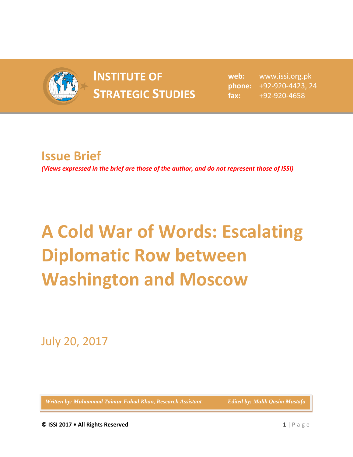

## **INSTITUTE OF INSTITUTE OF** web:<br> **STRATEGIC STUDIES** fax:

**web:** www.issi.org.pk **phone:** +92-920-4423, 24 **fax:** +92-920-4658

## **Issue Brief**

*(Views expressed in the brief are those of the author, and do not represent those of ISSI)*

## **A Cold War of Words: Escalating Diplomatic Row between Washington and Moscow**

July 20, 2017

Written by: Muhammad Taimur Fahad Khan, Research Assistant **Edited by: Malik Qasim Mustafa**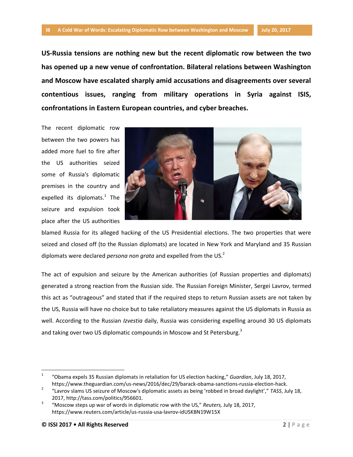**US-Russia tensions are nothing new but the recent diplomatic row between the two has opened up a new venue of confrontation. Bilateral relations between Washington and Moscow have escalated sharply amid accusations and disagreements over several contentious issues, ranging from military operations in Syria against ISIS, confrontations in Eastern European countries, and cyber breaches.**

The recent diplomatic row between the two powers has added more fuel to fire after the US authorities seized some of Russia's diplomatic premises in the country and expelled its diplomats.<sup>1</sup> The seizure and expulsion took place after the US authorities



blamed Russia for its alleged hacking of the US Presidential elections. The two properties that were seized and closed off (to the Russian diplomats) are located in New York and Maryland and 35 Russian diplomats were declared *persona non grata* and expelled from the US.<sup>2</sup>

The act of expulsion and seizure by the American authorities (of Russian properties and diplomats) generated a strong reaction from the Russian side. The Russian Foreign Minister, Sergei Lavrov, termed this act as "outrageous" and stated that if the required steps to return Russian assets are not taken by the US, Russia will have no choice but to take retaliatory measures against the US diplomats in Russia as well. According to the Russian *Izvestia* daily, Russia was considering expelling around 30 US diplomats and taking over two US diplomatic compounds in Moscow and St Petersburg.<sup>3</sup>

 $\overline{a}$ 

<sup>1</sup> "Obama expels 35 Russian diplomats in retaliation for US election hacking," *Guardian*, July 18, 2017, https://www.theguardian.com/us-news/2016/dec/29/barack-obama-sanctions-russia-election-hack.

<sup>2</sup> "Lavrov slams US seizure of Moscow's diplomatic assets as being 'robbed in broad daylight'," *TASS*, July 18, 2017, http://tass.com/politics/956601.

<sup>3</sup> "Moscow steps up war of words in diplomatic row with the US," *Reuters,* July 18, 2017, https://www.reuters.com/article/us-russia-usa-lavrov-idUSKBN19W15X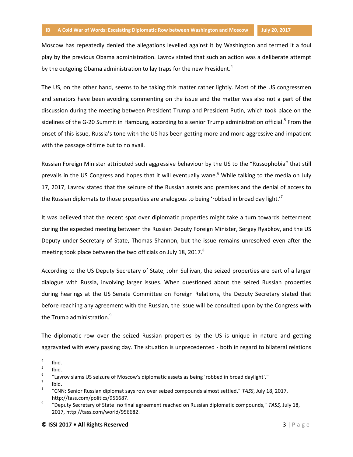Moscow has repeatedly denied the allegations levelled against it by Washington and termed it a foul play by the previous Obama administration. Lavrov stated that such an action was a deliberate attempt by the outgoing Obama administration to lay traps for the new President.<sup>4</sup>

The US, on the other hand, seems to be taking this matter rather lightly. Most of the US congressmen and senators have been avoiding commenting on the issue and the matter was also not a part of the discussion during the meeting between President Trump and President Putin, which took place on the sidelines of the G-20 Summit in Hamburg, according to a senior Trump administration official.<sup>5</sup> From the onset of this issue, Russia's tone with the US has been getting more and more aggressive and impatient with the passage of time but to no avail.

Russian Foreign Minister attributed such aggressive behaviour by the US to the "Russophobia" that still prevails in the US Congress and hopes that it will eventually wane.<sup>6</sup> While talking to the media on July 17, 2017, Lavrov stated that the seizure of the Russian assets and premises and the denial of access to the Russian diplomats to those properties are analogous to being 'robbed in broad day light.'<sup>7</sup>

It was believed that the recent spat over diplomatic properties might take a turn towards betterment during the expected meeting between the Russian Deputy Foreign Minister, Sergey Ryabkov, and the US Deputy under-Secretary of State, Thomas Shannon, but the issue remains unresolved even after the meeting took place between the two officials on July 18, 2017.<sup>8</sup>

According to the US Deputy Secretary of State, John Sullivan, the seized properties are part of a larger dialogue with Russia, involving larger issues. When questioned about the seized Russian properties during hearings at the US Senate Committee on Foreign Relations, the Deputy Secretary stated that before reaching any agreement with the Russian, the issue will be consulted upon by the Congress with the Trump administration.<sup>9</sup>

The diplomatic row over the seized Russian properties by the US is unique in nature and getting aggravated with every passing day. The situation is unprecedented - both in regard to bilateral relations

 $\frac{1}{4}$ Ibid.

<sup>5</sup> Ibid.

<sup>6</sup> "Lavrov slams US seizure of Moscow's diplomatic assets as being 'robbed in broad daylight'."

<sup>7</sup> Ibid.

<sup>8</sup> "CNN: Senior Russian diplomat says row over seized compounds almost settled," *TASS*, July 18, 2017, http://tass.com/politics/956687.

<sup>9</sup> "Deputy Secretary of State: no final agreement reached on Russian diplomatic compounds," *TASS,* July 18, 2017, http://tass.com/world/956682.